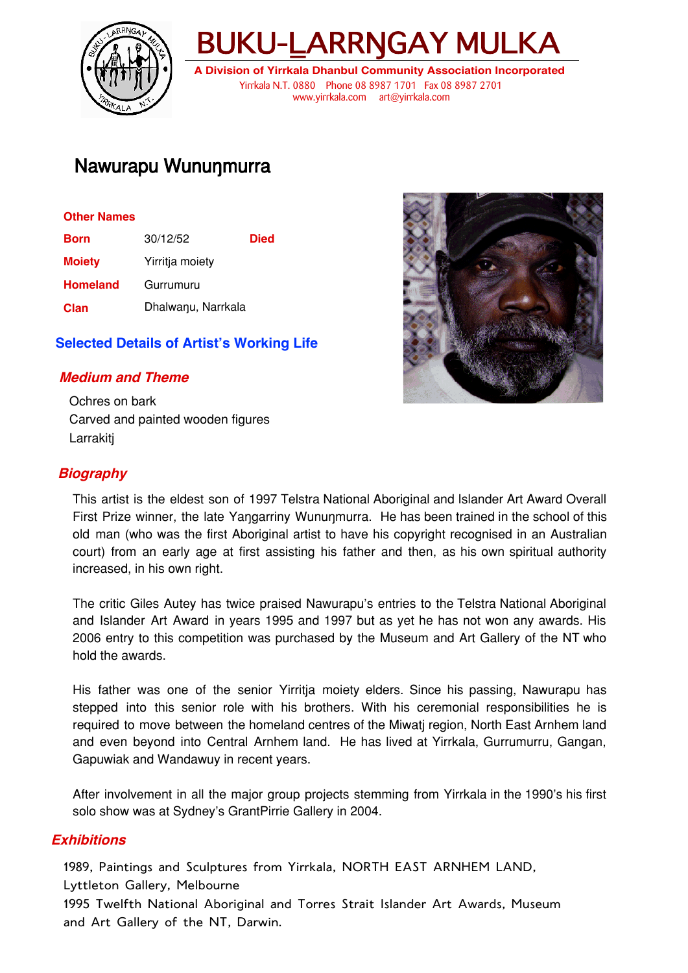



**A Division of Yirrkala Dhanbul Community Association Incorporated** Yirrkala N.T. 0880 Phone 08 8987 1701 Fax 08 8987 2701 www.yirrkala.com art@yirrkala.com

# Nawurapu Wununmurra

#### **Other Names**

| <b>Born</b>     | 30/12/52           | <b>Died</b> |
|-----------------|--------------------|-------------|
| <b>Moiety</b>   | Yirritja moiety    |             |
| <b>Homeland</b> | Gurrumuru          |             |
| <b>Clan</b>     | Dhalwanu, Narrkala |             |

## **Selected Details of Artist's Working Life**

## **Medium and Theme**

Ochres on bark Carved and painted wooden figures **Larrakiti** 



## **Biography**

This artist is the eldest son of 1997 Telstra National Aboriginal and Islander Art Award Overall First Prize winner, the late Yangarriny Wununmurra. He has been trained in the school of this old man (who was the first Aboriginal artist to have his copyright recognised in an Australian court) from an early age at first assisting his father and then, as his own spiritual authority increased, in his own right.

The critic Giles Autey has twice praised Nawurapu's entries to the Telstra National Aboriginal and Islander Art Award in years 1995 and 1997 but as yet he has not won any awards. His 2006 entry to this competition was purchased by the Museum and Art Gallery of the NT who hold the awards.

His father was one of the senior Yirritja moiety elders. Since his passing, Nawurapu has stepped into this senior role with his brothers. With his ceremonial responsibilities he is required to move between the homeland centres of the Miwatj region, North East Arnhem land and even beyond into Central Arnhem land. He has lived at Yirrkala, Gurrumurru, Gangan, Gapuwiak and Wandawuy in recent years.

After involvement in all the major group projects stemming from Yirrkala in the 1990's his first solo show was at Sydney's GrantPirrie Gallery in 2004.

#### **Exhibitions**

1989, Paintings and Sculptures from Yirrkala, NORTH EAST ARNHEM LAND,

Lyttleton Gallery, Melbourne

1995 Twelfth National Aboriginal and Torres Strait Islander Art Awards, Museum and Art Gallery of the NT, Darwin.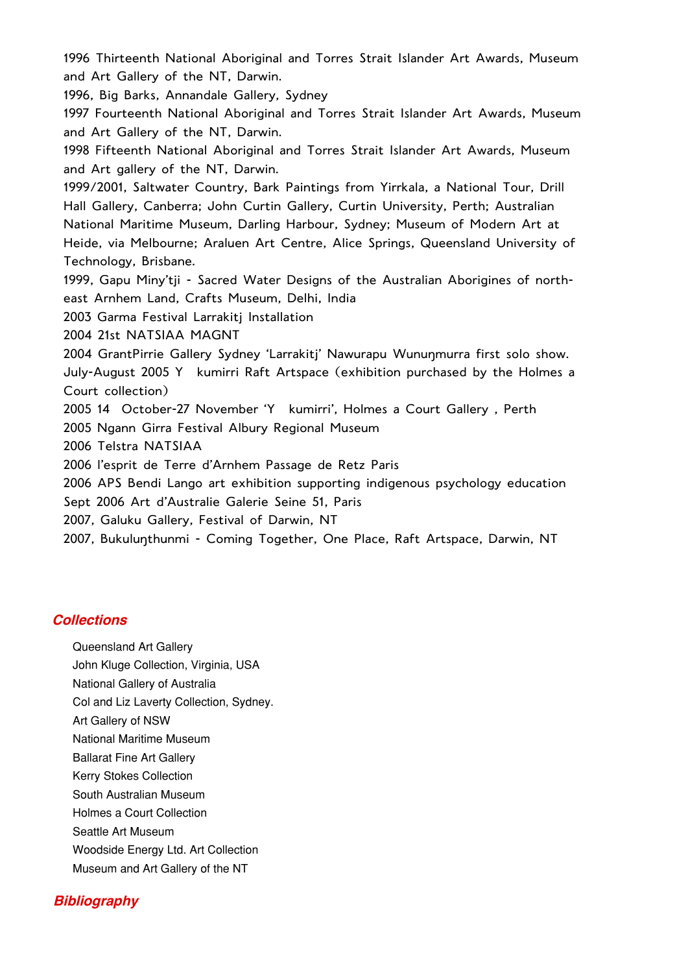1996 Thirteenth National Aboriginal and Torres Strait Islander Art Awards, Museum and Art Gallery of the NT, Darwin. 1996, Big Barks, Annandale Gallery, Sydney 1997 Fourteenth National Aboriginal and Torres Strait Islander Art Awards, Museum and Art Gallery of the NT, Darwin. 1998 Fifteenth National Aboriginal and Torres Strait Islander Art Awards, Museum and Art gallery of the NT, Darwin. 1999/2001, Saltwater Country, Bark Paintings from Yirrkala, a National Tour, Drill Hall Gallery, Canberra; John Curtin Gallery, Curtin University, Perth; Australian National Maritime Museum, Darling Harbour, Sydney; Museum of Modern Art at Heide, via Melbourne; Araluen Art Centre, Alice Springs, Queensland University of Technology, Brisbane. 1999, Gapu Miny'tji - Sacred Water Designs of the Australian Aborigines of northeast Arnhem Land, Crafts Museum, Delhi, India 2003 Garma Festival Larrakitj Installation 2004 21st NATSIAA MAGNT 2004 GrantPirrie Gallery Sydney 'Larrakitj' Nawurapu Wununmurra first solo show. July-August 2005 Y kumirri Raft Artspace (exhibition purchased by the Holmes a Court collection) 2005 14 October-27 November 'Y kumirri', Holmes a Court Gallery, Perth 2005 Ngann Girra Festival Albury Regional Museum 2006 Telstra NATSIAA 2006 l'esprit de Terre d'Arnhem Passage de Retz Paris 2006 APS Bendi Lango art exhibition supporting indigenous psychology education Sept 2006 Art d'Australie Galerie Seine 51, Paris 2007, Galuku Gallery, Festival of Darwin, NT 2007, Bukulunthunmi - Coming Together, One Place, Raft Artspace, Darwin, NT

#### **Collections**

- Queensland Art Gallery
- John Kluge Collection, Virginia, USA
- National Gallery of Australia
- Col and Liz Laverty Collection, Sydney.
- Art Gallery of NSW
- National Maritime Museum
- Ballarat Fine Art Gallery
- Kerry Stokes Collection
- South Australian Museum
- Holmes a Court Collection
- Seattle Art Museum
- Woodside Energy Ltd. Art Collection
- Museum and Art Gallery of the NT

#### **Bibliography**